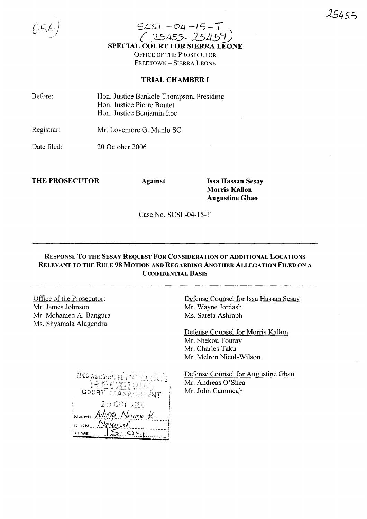

 $SCSL-04-15-T$ *C25455-2545!J* SPECIAL COURT FOR SIERRA LEONE OFFICE OF THE PROSECUTOR FREETOWN - SIERRA LEONE

## TRIAL CHAMBER I

| Before: | Hon. Justice Bankole Thompson, Presiding |
|---------|------------------------------------------|
|         | Hon. Justice Pierre Boutet               |
|         | Hon. Justice Benjamin Itoe               |
|         |                                          |

Registrar: Mr. Lovemore G. Munlo SC

Date filed: 20 October 2006

THE PROSECUTOR Against Issa Hassan Sesay

Morris Kallon Augustine Gbao

Case No. SCSL-04-15-T

## RESPONSE To THE SESAy REQUEST FOR CONSIDERATION OF ADDITIONAL LOCATIONS RELEVANT TO THE RULE 98 MOTION AND REGARDING ANOTHER ALLEGATION FILED ON A CONFIDENTIAL BASIS

Office of the Prosecutor: Mr. James Johnson Mr. Mohamed A. Bangura Ms. Shyamala Alagendra

Defense Counsel for Issa Hassan Sesay Mr. Wayne Jordash Ms. Sareta Ashraph

Defense Counsel for Morris Kallon Mr. Shekou Touray Mr. Charles Taku Mr. Melron Nicol-Wilson

*SPECIAL GOURN FOR SIS* RECEI COURT MANAGEMENT 20 OCT 2006  $nameMw$  $s$ <sub>ign</sub> kunı TIME<sub>----</sub>

Defense Counsel for Augustine Gbao Mr. Andreas O'Shea Mr. John Cammegh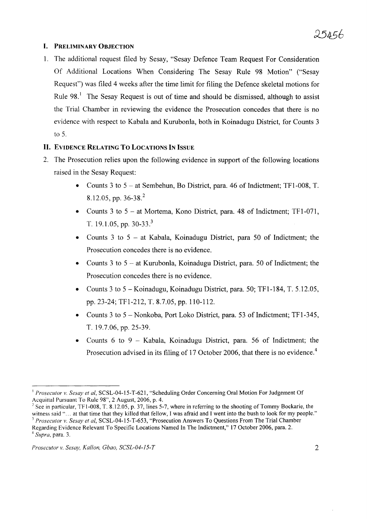## I. PRELIMINARY OBJECTION

1. The additional request filed by Sesay, "Sesay Defence Team Request For Consideration Of Additional Locations When Considering The Sesay Rule 98 Motion" ("Sesay Request") was filed 4 weeks after the time limit for filing the Defence skeletal motions for Rule  $98<sup>1</sup>$  The Sesay Request is out of time and should be dismissed, although to assist the Trial Chamber in reviewing the evidence the Prosecution concedes that there is no evidence with respect to Kabala and Kurubonla, both in Koinadugu District, for Counts 3 to 5.

### II. EVIDENCE RELATING To LOCATIONS IN ISSUE

- 2. The Prosecution relies upon the following evidence in support of the following locations raised in the Sesay Request:
	- Counts 3 to  $5 at$  Sembehun, Bo District, para. 46 of Indictment; TF1-008, T. 8.12.05, pp. 36-38. <sup>2</sup>
	- Counts 3 to 5 at Mortema, Kono District, para. 48 of Indictment; TF1-071, T. 19.1.05, pp. 30-33.<sup>3</sup>
	- Counts 3 to  $5 at$  Kabala, Koinadugu District, para 50 of Indictment; the Prosecution concedes there is no evidence.
	- Counts  $3$  to  $5 at$  Kurubonla, Koinadugu District, para. 50 of Indictment; the Prosecution concedes there is no evidence.
	- Counts 3 to 5 Koinadugu, Koinadugu District, para. 50; TFl-184, T. 5.12.05, pp. 23-24; TFl-212, T. 8.7.05, pp. 110-112.
	- Counts 3 to 5 Nonkoba, Port Loko District, para. 53 of Indictment; TFl-345, 1. 19.7.06, pp. 25-39.
	- Counts 6 to 9 Kabala, Koinadugu District, para. 56 of Indictment; the Prosecution advised in its filing of 17 October 2006, that there is no evidence.<sup>4</sup>

<sup>I</sup> *Prosecutor* v. *Sesay et ai,* SCSL-04-15-T-621, "Scheduling Order Concerning Oral Motion For Judgement Of Acquittal Pursuant To Rule 98", 2 August, 2006, p. 4.

<sup>&</sup>lt;sup>2</sup> See in particular, TF1-008, T. 8.12.05, p. 37, lines 5-7, where in referring to the shooting of Tommy Bockarie, the witness said "... at that time that they killed that fellow, I was afraid and I went into the bush to look for my people." <sup>3</sup> *Prosecutor* v. *Sesay et ai,* SCSL-04-15-*T-653,* "Prosecution Answers To Questions From The Trial Chamber Regarding Evidence Relevant To Specific Locations Named In The Indictment," 17 October 2006, para. 2. *<sup>4</sup> Supra,* para. 3.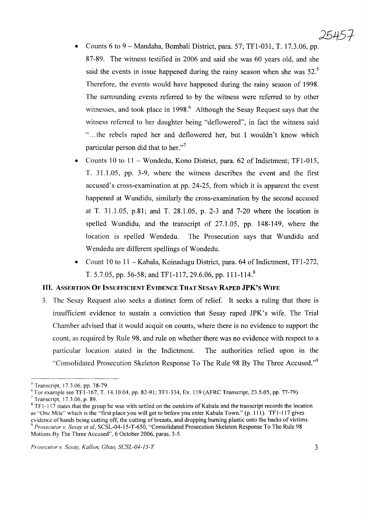- Counts 6 to 9 Mandaha, Bombali District, para. 57; TF1-031, T. 17.3.06, pp. 87-89. The witness testified in 2006 and said she was 60 years old, and she said the events in issue happened during the rainy season when she was  $52<sup>5</sup>$ Therefore, the events would have happened during the rainy season of 1998. The surrounding events referred to by the witness were referred to by other witnesses, and took place in 1998.<sup>6</sup> Although the Sesay Request says that the witness referred to her daughter being "deflowered", in fact the witness said " ...the rebels raped her and deflowered her, but I wouldn't know which particular person did that to her."<sup>7</sup>
- Counts 10 to 11 Wondedu, Kono District, para. 62 of Indictment; TFI-015, T. 31.1.05, pp. 3-9, where the witness describes the event and the first accused's cross-examination at pp. 24-25, from which it is apparent the event happened at Wundidu, similarly the cross-examination by the second accused at T. 31.1.05, p.81; and T. 28.1.05, p. 2-3 and 7-20 where the location is spelled Wundidu, and the transcript of 27.1.05, pp. 148-149, where the location is spelled Wendedu. The Prosecution says that Wundidu and Wendedu are different spellings of Wondedu.
- Count 10 to 11 Kabala, Koinadugu District, para. 64 of Indictment, TFI-272, T. 5.7.05, pp. 56-58; and TF1-117, 29.6.06, pp. 111-114.<sup>8</sup>

#### **III.** ASSERTION **OF** INSUFFICIENT EVIDENCE **THAT** SESAY **RAPED JPK's WIFE**

3. The Sesay Request also seeks a distinct form of relief. It seeks a ruling that there is insufficient evidence to sustain a conviction that Sesay raped JPK's wife. The Trial Chamber advised that it would acquit on counts, where there is no evidence to support the count, as required by Rule 98, and rule on whether there was no evidence with respect to a particular location stated in the Indictment. The authorities relied upon in the "Consolidated Prosecution Skeleton Response To The Rule 98 By The Three Accused,"<sup>9</sup>

<sup>5</sup> Transcript, 17.3.06, pp. 78-79.

 $6$  For example see TF1-167, T. 14.10.04, pp. 82-91; TF1-334, Ex. 119 (AFRC Transcript, 23.5.05, pp. 77-79).

<sup>7</sup> Transcript, 17.3.06, p. 89.

 $8$  TF1-117 states that the group he was with settled on the outskirts of Kabala and the transcript records the location as "One Mile" which is the "first place you will get to before you enter Kabala Town." (p. III). TFI-117 gives evidence of hands being cutting off, the cutting of breasts, and dropping burning plastic onto the backs of victims. *<sup>9</sup> Prosecutor v. Sesay et ai,* SCSL-04-15-T-650, "Consolidated Prosecution Skeleton Response To The Rule 98 Motions By The Three Accused", 6 October 2006, paras. 3-5.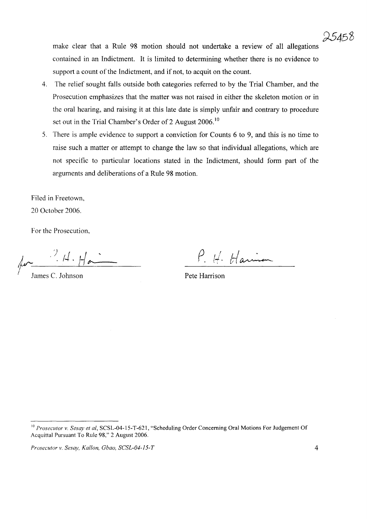make clear that a Rule 98 motion should not undertake a review of all allegations contained in an Indictment. It is limited to determining whether there is no evidence to support a count of the Indictment, and if not, to acquit on the count.

- 4. The relief sought falls outside both categories referred to by the Trial Chamber, and the Prosecution emphasizes that the matter was not raised in either the skeleton motion or in the oral hearing, and raising it at this late date is simply unfair and contrary to procedure set out in the Trial Chamber's Order of 2 August 2006.<sup>10</sup>
- 5. There is ample evidence to support a conviction for Counts 6 to 9, and this is no time to raise such a matter or attempt to change the law so that individual allegations, which are not specific to particular locations stated in the Indictment, should form part of the arguments and deliberations of a Rule 98 motion.

Filed in Freetown, 20 October 2006.

For the Prosecution,

for <sup>1, 1</sup>. Ha

James C. Johnson

*P.* H. Harrison

Pete Harrison

*Prosecutor* v. *Sesay, Kallan, Gbao, SCSL-04-15-T* 4

<sup>10</sup> *Prosecutor* v. *Sesay et ai,* SCSL-04-l5-T-621, "Scheduling Order Concerning Oral Motions For Judgement Of Acquittal Pursuant To Rule 98," 2 August 2006.